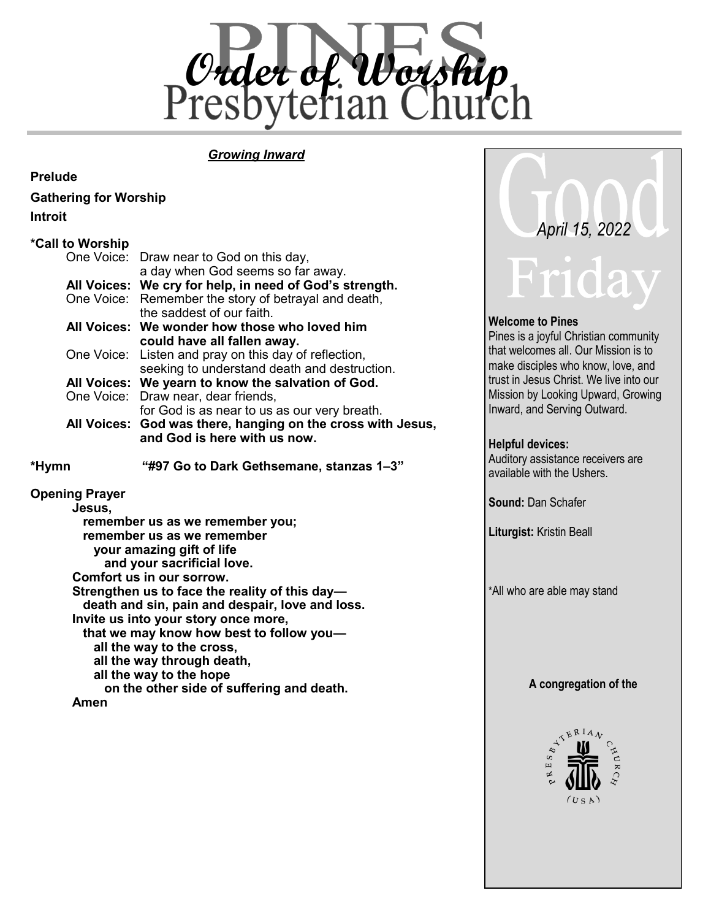

**Welcome to Pines**

**Helpful devices:**

**Sound:** Dan Schafer

**Liturgist:** Kristin Beall

\*All who are able may stand

**A congregation of the**

 $\mathcal{A}^{\mathcal{R}^{\mathbf{R}^{\Pi}}}$ 

 $R$  E S  $B_{L}$ 

Pines is a joyful Christian community that welcomes all. Our Mission is to make disciples who know, love, and trust in Jesus Christ. We live into our Mission by Looking Upward, Growing Inward, and Serving Outward.

 *April 15, 2022*

Auditory assistance receivers are available with the Ushers.

## *Growing Inward*

#### **Prelude**

**Gathering for Worship**

| Draw near to God on this day,                                                                            |
|----------------------------------------------------------------------------------------------------------|
| a day when God seems so far away.                                                                        |
| All Voices: We cry for help, in need of God's strength.                                                  |
| One Voice: Remember the story of betrayal and death,<br>the saddest of our faith.                        |
| All Voices: We wonder how those who loved him<br>could have all fallen away.                             |
| Listen and pray on this day of reflection,<br>One Voice:<br>seeking to understand death and destruction. |
| All Voices: We yearn to know the salvation of God.                                                       |
| One Voice: Draw near, dear friends,                                                                      |
| for God is as near to us as our very breath.                                                             |
| All Voices: God was there, hanging on the cross with Jesus,<br>and God is here with us now.              |
| "#97 Go to Dark Gethsemane, stanzas 1-3"                                                                 |
| remember us as we remember you;<br>remember us as we remember                                            |
| One Voice:                                                                                               |

 **on the other side of suffering and death.** 

**Amen**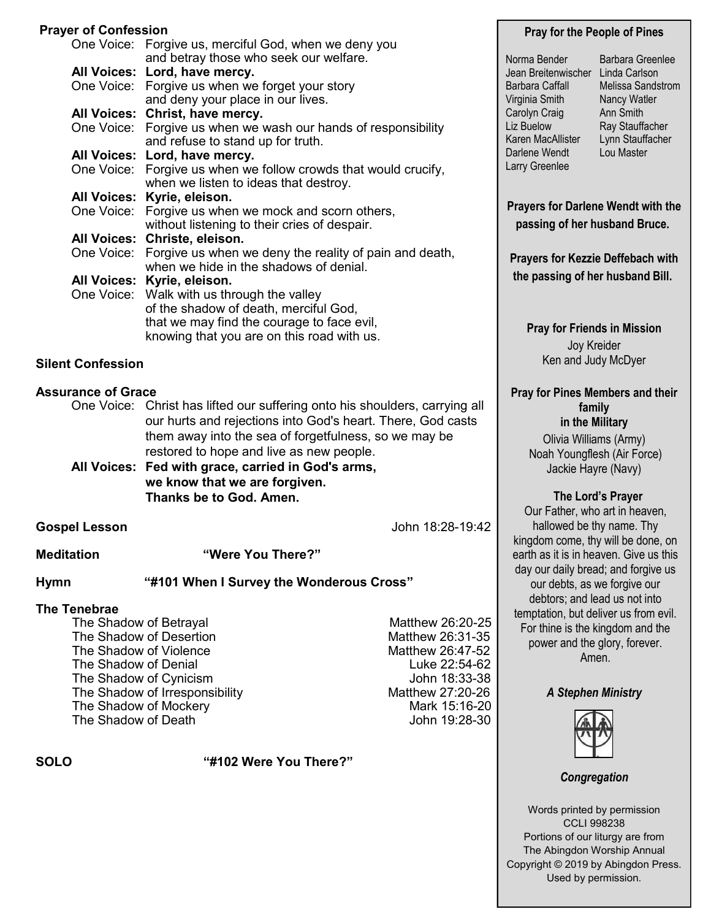## **Prayer of Confession**

| <b>Prayer of Confession</b> |                                                                                         |                  |  |  |
|-----------------------------|-----------------------------------------------------------------------------------------|------------------|--|--|
|                             | One Voice: Forgive us, merciful God, when we deny you                                   |                  |  |  |
|                             | and betray those who seek our welfare.                                                  |                  |  |  |
|                             | All Voices: Lord, have mercy.                                                           |                  |  |  |
|                             | One Voice: Forgive us when we forget your story                                         |                  |  |  |
|                             | and deny your place in our lives.                                                       |                  |  |  |
|                             | All Voices: Christ, have mercy.                                                         |                  |  |  |
|                             | One Voice: Forgive us when we wash our hands of responsibility                          |                  |  |  |
|                             | and refuse to stand up for truth.                                                       |                  |  |  |
|                             | All Voices: Lord, have mercy.                                                           |                  |  |  |
|                             | One Voice: Forgive us when we follow crowds that would crucify,                         |                  |  |  |
|                             | when we listen to ideas that destroy.                                                   |                  |  |  |
|                             | All Voices: Kyrie, eleison.                                                             |                  |  |  |
|                             | One Voice: Forgive us when we mock and scorn others,                                    |                  |  |  |
|                             | without listening to their cries of despair.                                            |                  |  |  |
| One Voice:                  | All Voices: Christe, eleison.<br>Forgive us when we deny the reality of pain and death, |                  |  |  |
|                             | when we hide in the shadows of denial.                                                  |                  |  |  |
|                             | All Voices: Kyrie, eleison.                                                             |                  |  |  |
|                             | One Voice: Walk with us through the valley                                              |                  |  |  |
|                             | of the shadow of death, merciful God,                                                   |                  |  |  |
|                             | that we may find the courage to face evil,                                              |                  |  |  |
|                             | knowing that you are on this road with us.                                              |                  |  |  |
| <b>Silent Confession</b>    |                                                                                         |                  |  |  |
|                             |                                                                                         |                  |  |  |
| <b>Assurance of Grace</b>   |                                                                                         |                  |  |  |
|                             | One Voice: Christ has lifted our suffering onto his shoulders, carrying all             |                  |  |  |
|                             | our hurts and rejections into God's heart. There, God casts                             |                  |  |  |
|                             | them away into the sea of forgetfulness, so we may be                                   |                  |  |  |
|                             | restored to hope and live as new people.                                                |                  |  |  |
|                             | All Voices: Fed with grace, carried in God's arms,                                      |                  |  |  |
|                             | we know that we are forgiven.                                                           |                  |  |  |
|                             | Thanks be to God. Amen.                                                                 |                  |  |  |
|                             |                                                                                         |                  |  |  |
| <b>Gospel Lesson</b>        |                                                                                         | John 18:28-19:42 |  |  |
|                             |                                                                                         |                  |  |  |

**Meditation "Were You There?"**

**Hymn "#101 When I Survey the Wonderous Cross"** 

#### **The Tenebrae**

The Shadow of Betraval Matthew 26:20-25 The Shadow of Desertion The Shadow of Desertion The Shadow of Violence Matthew 26:47-52 The Shadow of Denial **Luke 22:54-62** The Shadow of Cynicism **Internal Cynicism** John 18:33-38 The Shadow of Irresponsibility Matthew 27:20-26<br>The Shadow of Mockery Matthew 27:20-20 The Shadow of Mockery The Shadow of Death **John 19:28-30** 

**SOLO "#102 Were You There?"**

#### **Pray for the People of Pines**

- Norma Bender Jean Breitenwischer Linda Carlson Barbara Caffall Virginia Smith Carolyn Craig Liz Buelow Karen MacAllister Darlene Wendt Larry Greenlee
- Barbara Greenlee Melissa Sandstrom Nancy Watler Ann Smith Ray Stauffacher Lynn Stauffacher Lou Master

**Prayers for Darlene Wendt with the passing of her husband Bruce.**

**Prayers for Kezzie Deffebach with the passing of her husband Bill.**

**Pray for Friends in Mission** Joy Kreider Ken and Judy McDyer

**Pray for Pines Members and their family in the Military**

> Olivia Williams (Army) Noah Youngflesh (Air Force) Jackie Hayre (Navy)

#### **The Lord's Prayer**

Our Father, who art in heaven, hallowed be thy name. Thy kingdom come, thy will be done, on earth as it is in heaven. Give us this day our daily bread; and forgive us our debts, as we forgive our debtors; and lead us not into temptation, but deliver us from evil. For thine is the kingdom and the power and the glory, forever. Amen.

## *A Stephen Ministry*



*Congregation*

Words printed by permission CCLI 998238 Portions of our liturgy are from The Abingdon Worship Annual Copyright © 2019 by Abingdon Press. Used by permission.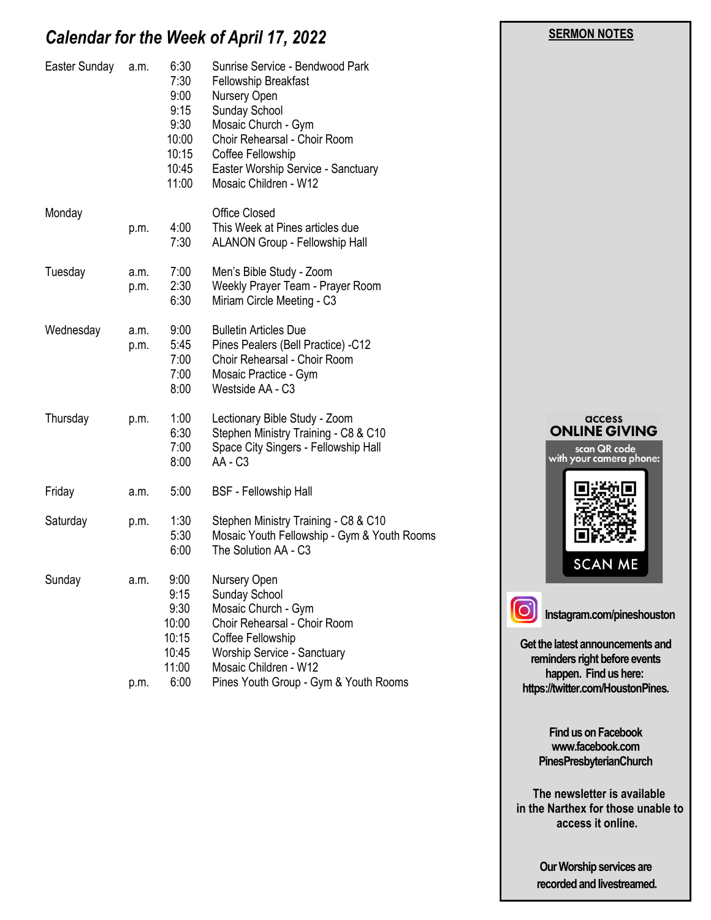## *Calendar for the Week of April 17, 2022*

| a.m.         | 6:30<br>7:30<br>9:00<br>9:15<br>9:30<br>10:00<br>10:15<br>10:45<br>11:00 | Sunrise Service - Bendwood Park<br><b>Fellowship Breakfast</b><br>Nursery Open<br>Sunday School<br>Mosaic Church - Gym<br>Choir Rehearsal - Choir Room<br>Coffee Fellowship<br>Easter Worship Service - Sanctuary<br>Mosaic Children - W12 |
|--------------|--------------------------------------------------------------------------|--------------------------------------------------------------------------------------------------------------------------------------------------------------------------------------------------------------------------------------------|
| p.m.         | 4:00<br>7:30                                                             | <b>Office Closed</b><br>This Week at Pines articles due<br>ALANON Group - Fellowship Hall                                                                                                                                                  |
| a.m.<br>p.m. | 7:00<br>2:30<br>6:30                                                     | Men's Bible Study - Zoom<br>Weekly Prayer Team - Prayer Room<br>Miriam Circle Meeting - C3                                                                                                                                                 |
| a.m.<br>p.m. | 9:00<br>5:45<br>7:00<br>7:00<br>8:00                                     | <b>Bulletin Articles Due</b><br>Pines Pealers (Bell Practice) -C12<br>Choir Rehearsal - Choir Room<br>Mosaic Practice - Gym<br>Westside AA - C3                                                                                            |
| p.m.         | 1:00<br>6:30<br>7:00<br>8:00                                             | Lectionary Bible Study - Zoom<br>Stephen Ministry Training - C8 & C10<br>Space City Singers - Fellowship Hall<br>AA - C <sub>3</sub>                                                                                                       |
| a.m.         | 5:00                                                                     | <b>BSF</b> - Fellowship Hall                                                                                                                                                                                                               |
| p.m.         | 1:30<br>5:30<br>6:00                                                     | Stephen Ministry Training - C8 & C10<br>Mosaic Youth Fellowship - Gym & Youth Rooms<br>The Solution AA - C3                                                                                                                                |
| a.m.<br>p.m. | 9:00<br>9:15<br>9:30<br>10:00<br>10:15<br>10:45<br>11:00<br>6:00         | Nursery Open<br>Sunday School<br>Mosaic Church - Gym<br>Choir Rehearsal - Choir Room<br>Coffee Fellowship<br><b>Worship Service - Sanctuary</b><br>Mosaic Children - W12<br>Pines Youth Group - Gym & Youth Rooms                          |
|              |                                                                          |                                                                                                                                                                                                                                            |



 **SERMON NOTES** 

**Get the latest announcements and reminders right before events happen. Find us here: https://twitter.com/HoustonPines.** 

> **Find us on Facebook www.facebook.com PinesPresbyterianChurch**

 **The newsletter is available in the Narthex for those unable to access it online.**

> **Our Worship services are recorded and livestreamed.**